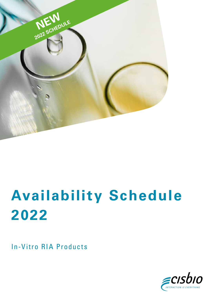

## **Availability Schedule 2022**

In-Vitro RIA Products

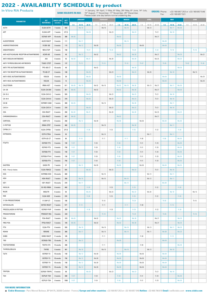## 2022 - AVAILABILITY SCHEDULE by product

| <b>In-Vitro RIA Products</b>               |                                | <b>BANK HOLIDAYS IN 2022:</b> |                     |                |                           | 1st January, 18th April, 1st May, 8th May, 26th May, 6th June, 14th July,<br>15 <sup>th</sup> August, 1 <sup>st</sup> November, 11 <sup>th</sup> November, 25 <sup>th</sup> December.<br>Please order one day before normal orddering day |                |                    |              |                |                         |              | <b>ORDERS: Phone:</b><br>Fax: |                    |                |              | +33 169 857 253 or +33 169 857 546<br>+33 169 857 521 |                       |              |             |              |
|--------------------------------------------|--------------------------------|-------------------------------|---------------------|----------------|---------------------------|-------------------------------------------------------------------------------------------------------------------------------------------------------------------------------------------------------------------------------------------|----------------|--------------------|--------------|----------------|-------------------------|--------------|-------------------------------|--------------------|----------------|--------------|-------------------------------------------------------|-----------------------|--------------|-------------|--------------|
| <b>PARAMETER</b>                           | <b>KIT</b><br><b>REFERENCE</b> | <b>SHELF-LIFE</b><br>(weeks)  | <b>ACT</b><br>(kBq) |                | <b>JANUARY</b>            |                                                                                                                                                                                                                                           |                | <b>FEBRUARY</b>    |              |                | <b>MARCH</b>            |              |                               | <b>APRIL</b>       |                |              | <b>MAY</b>                                            |                       |              | <b>JUNE</b> |              |
| ACTH                                       | ELSA-ACTH                      | 7 weeks                       | 592                 | $1-9$          | $10 - 19$<br><b>We 19</b> | $20 - 31$                                                                                                                                                                                                                                 | $1 - 9$        | $10 - 19$<br>We 16 | $20 - 27$    | $1-9$          | $10-19$<br><b>We 16</b> | $20 - 31$    | $1 - 9$                       | $10 - 19$<br>We 13 | $20 - 30$      | $1-9$        | $10 - 18$<br><b>We 11</b>                             | 19-31<br>Mo 30        | $1 - 9$      | $10 - 19$   | $20 - 30$    |
| AFP                                        | ELSA2-AFP                      | 7 weeks                       | 277,5               |                |                           | <b>We 26</b>                                                                                                                                                                                                                              |                |                    | We 23        |                |                         | <b>We 23</b> |                               |                    | Th 21          |              | <b>We 18</b>                                          |                       |              |             |              |
|                                            | OCFA07-AFP                     | 10 weeks                      | 300                 | <b>We 05</b>   |                           |                                                                                                                                                                                                                                           |                |                    |              | <b>We 02</b>   |                         |              |                               |                    | We 27          |              |                                                       |                       |              |             |              |
| ALDOSTERONE                                | ALDO-RIACT                     | 9 weeks                       | 111                 |                | Mo 17                     |                                                                                                                                                                                                                                           |                |                    |              |                | Mo 14                   |              |                               |                    |                | Mo 09        |                                                       |                       |              |             |              |
| ANDROSTENEDIONE                            | R-GM-100                       | 9 weeks                       | 115                 |                | <b>We 12</b>              |                                                                                                                                                                                                                                           | We 09          |                    |              | <b>We 09</b>   |                         |              | <b>We 06</b>                  |                    |                | <b>We 04</b> |                                                       |                       |              |             |              |
| ANGIOTENSIN I                              | REN-CT2P                       | 7 weeks                       | 150                 |                |                           | Th 27                                                                                                                                                                                                                                     |                |                    | <b>Th 24</b> |                |                         | Th 24        |                               |                    | Fr 22          |              | Th 19                                                 |                       |              | Th 16       |              |
| ANTI-ACETYLCHOLINE RECEPTOR AUTOANTIBODIES | ACHR-AB                        | 6 weeks                       | 40                  |                | <b>We 12</b>              |                                                                                                                                                                                                                                           | We 02          |                    |              | <b>We 02</b>   |                         | <b>We 30</b> |                               |                    | We 27          |              |                                                       | <b>We 25</b>          |              |             | <b>We 22</b> |
| ANTI-INSULIN ANTIBODIES                    | AAI                            | 6 weeks                       | 52                  | Mo 03          |                           | Mo 31                                                                                                                                                                                                                                     |                |                    | Mo 28        |                |                         | Mo 28        |                               |                    | Mo 25          |              |                                                       | Mo 23                 |              |             |              |
| ANTI-THYROGLOBULINE ANTIBODIES             | <b>TGAB I STEP</b>             | 8 weeks                       | 137                 |                | Th 13                     |                                                                                                                                                                                                                                           |                | Th 10              |              |                | Th 10                   |              | Th 07                         |                    |                | Th 05        |                                                       |                       | <b>Th 02</b> |             | Th30         |
| ANTI-TPO AUTOANTIBODIES                    | TPO-AB-CT                      | 10 weeks                      | 40                  |                |                           |                                                                                                                                                                                                                                           | We 02          |                    |              |                |                         | <b>We 30</b> |                               |                    |                |              |                                                       | <b>We 25</b>          |              |             |              |
| ANTI-TSH RECEPTOR AUTOANTIBODIES           | TR-AB-CT                       | 6 weeks                       | 100                 |                |                           | <b>We 26</b>                                                                                                                                                                                                                              |                |                    | We 23        |                |                         | <b>We 23</b> |                               | We 20              |                |              | <b>We 18</b>                                          |                       |              | We 15       |              |
| ANTI-VGKC AUTOANTIBODIES                   | <b>VGK/25</b>                  | 8 weeks                       | 30                  |                |                           | <b>We 26</b>                                                                                                                                                                                                                              |                |                    |              | <b>We 09</b>   |                         |              |                               |                    |                | <b>We 04</b> |                                                       |                       |              |             | We 29        |
| ANTI-VGCC AUTOANTIBODIES                   | VGC/25                         | 9 weeks                       | 12                  |                |                           | <b>We 26</b>                                                                                                                                                                                                                              |                |                    |              | <b>We 09</b>   |                         |              |                               |                    |                | <b>We 04</b> |                                                       |                       |              |             | We 29        |
| CALCITONIN                                 | IRMA-HCT                       | 4 weeks                       | 611                 | <b>We 05</b>   | <b>We 19</b>              |                                                                                                                                                                                                                                           | We 02          | <b>We 16</b>       |              | <b>We 02</b>   | <b>We 16</b>            | <b>We 30</b> |                               | We 13              | We 27          |              | <b>We 11</b>                                          | Mo 30                 |              |             |              |
| CA 125                                     | ELSA-CA125II                   | 7 weeks                       | 481                 | <b>We 05</b>   |                           |                                                                                                                                                                                                                                           | We 02          |                    |              | <b>We 02</b>   |                         | <b>We 30</b> |                               |                    | <b>We 27</b>   |              |                                                       | <b>We 25</b>          |              |             |              |
| CA 15-3                                    | ELSA-CA15-3                    | 7 weeks                       | 555                 |                |                           | <b>We 26</b>                                                                                                                                                                                                                              |                |                    | We 23        |                |                         | <b>We 23</b> |                               |                    | Th 21          |              | <b>We 18</b>                                          |                       |              |             |              |
| CA 19-9                                    | ELSA-CA19-9                    | 7 weeks                       | 370                 |                |                           | <b>We 26</b>                                                                                                                                                                                                                              |                |                    | We 23        |                |                         | <b>We 23</b> |                               |                    | Th 21          |              | <b>We 18</b>                                          |                       |              |             |              |
| CA 50                                      | OCFM07-CA50                    | 7 weeks                       | 300                 | <b>We 05</b>   |                           |                                                                                                                                                                                                                                           |                | We 16              |              |                |                         | <b>We 30</b> |                               |                    |                |              | <b>We 11</b>                                          |                       |              |             |              |
| CA72-4                                     | ELSA-CA72-4                    | 7 weeks                       | 370                 |                |                           | <b>We 26</b>                                                                                                                                                                                                                              |                |                    | We 23        |                |                         | <b>We 23</b> |                               |                    | Th 21          |              | <b>We 18</b>                                          |                       |              |             |              |
| CEA                                        | CEA-RIACT                      | 6 weeks                       | 350                 | Mo 03          |                           | Mo 31                                                                                                                                                                                                                                     |                |                    | Mo 28        |                |                         | Mo 28        |                               |                    | Mo 25          |              |                                                       | Mo 23                 |              |             |              |
| CHROMOGRANIN A                             | CGA-RIACT                      | 9 weeks                       | 407                 | <b>We 05</b>   |                           |                                                                                                                                                                                                                                           |                |                    |              | <b>We 02</b>   |                         |              |                               |                    | We 27          |              |                                                       |                       |              |             |              |
| CORTISOL                                   | CORT-CT2                       | 9 weeks                       | 250                 |                | <b>We 12</b>              |                                                                                                                                                                                                                                           | We 09          |                    |              | <b>We 09</b>   |                         |              | We 06                         |                    |                | <b>We 04</b> |                                                       | Mo 30                 |              |             |              |
| C-PEPTIDE                                  | IRMA-CPEP                      | 8 weeks                       | 460                 | <b>We 05</b>   |                           |                                                                                                                                                                                                                                           |                | We 16              |              |                |                         | <b>We 30</b> |                               |                    |                |              | <b>We 11</b>                                          |                       |              |             |              |
| CYFRA-21-1                                 | ELSA-CYFRA-                    | 7 weeks                       | 277,5               |                |                           | <b>Fr 28</b>                                                                                                                                                                                                                              |                |                    | Fr 25        |                |                         | Fr 25        |                               |                    | Fr 22          |              |                                                       | Fr 20                 |              |             |              |
| <b>ESTRADIOL</b>                           | ESTR-CTRIA                     | 9 weeks                       | 93                  |                |                           |                                                                                                                                                                                                                                           |                | Mo 14              |              |                |                         |              |                               | Mo 11              |                |              | <b>We 11</b>                                          |                       |              |             |              |
|                                            | ESTR-US-CT                     | 7 weeks                       | 85                  |                | Fr 14                     |                                                                                                                                                                                                                                           |                | Fr 11              |              |                | Fr 11                   |              | Fr 08                         |                    |                | Fr 06        |                                                       | Mo 30                 |              |             |              |
| FT3/FT4                                    | OCFH07-FT3                     | 9 weeks                       | 150                 | Fr 07          |                           |                                                                                                                                                                                                                                           | Fr 04          |                    |              | Fr 04          |                         |              | Fr 01                         |                    | Fr 29          |              |                                                       | Mo 30                 |              |             |              |
|                                            | OCFH57-FT3                     | 9 weeks                       | 750                 | Fr 07          |                           |                                                                                                                                                                                                                                           | Fr 04          |                    |              | Fr 04          |                         |              | Fr 01                         |                    | Fr 29          |              |                                                       | Mo 30                 |              |             |              |
|                                            | OCFD03-FT4                     | 9 weeks                       | 150                 | Fr 07          |                           |                                                                                                                                                                                                                                           | Fr 04          |                    |              | Fr 04          |                         |              | Fr 01                         |                    | Fr 29          |              |                                                       | Mo 30                 |              |             |              |
|                                            | OCFD03-FT4-K<br>OCFD53-FT4     | 9 weeks<br>9 weeks            | 150<br>750          | Fr 07<br>Fr 07 |                           |                                                                                                                                                                                                                                           | Fr 04<br>Fr 04 |                    |              | Fr 04<br>Fr 04 |                         |              | Fr 01<br>Fr 01                |                    | Fr 29<br>Fr 29 |              |                                                       | Mo 30<br>Mo 30        |              |             |              |
| GASTRIN                                    | GASK-PR                        | 7 weeks                       | 37                  |                | <b>We 12</b>              |                                                                                                                                                                                                                                           | We 09          |                    |              | <b>We 09</b>   |                         |              | We 06                         |                    |                | <b>We 04</b> |                                                       | <b>We 25</b>          |              |             |              |
| HCG - Free ß chains                        | ELSA-FBHCG                     | 7 weeks                       | 555                 |                |                           | <b>We 26</b>                                                                                                                                                                                                                              |                |                    | We 23        |                |                         | <b>We 23</b> |                               |                    | Th 21          |              | <b>We 18</b>                                          |                       |              |             |              |
| HCG                                        | OCPM03-HCG                     | 10 weeks                      | 300                 |                |                           |                                                                                                                                                                                                                                           |                | We 16              |              |                |                         |              |                               | We 13              |                |              | <b>We 11</b>                                          |                       |              |             |              |
| HGH                                        | HGH-RIACT                      | 7 weeks                       | 308                 |                | <b>We 19</b>              |                                                                                                                                                                                                                                           |                | We 16              |              |                | <b>We 16</b>            |              |                               | We 13              |                |              | <b>We 11</b>                                          |                       |              |             |              |
| IGF1                                       | IGF1-RIACT                     | 10 weeks                      | 370                 |                | Mo 17                     |                                                                                                                                                                                                                                           |                |                    |              |                | Mo 14                   |              |                               |                    |                | Mo 09        |                                                       |                       |              |             |              |
| INSULIN                                    | <b>BI-INS-IRMA</b>             | 6 weeks                       | 460                 |                |                           | <b>Fr 28</b>                                                                                                                                                                                                                              |                |                    | Fr 25        |                |                         | Fr 25        |                               |                    | Fr 22          |              |                                                       | Fr 20                 |              |             |              |
| MuSK                                       | MSK/TR                         | 6 weeks                       | 50                  |                |                           | <b>We 26</b>                                                                                                                                                                                                                              |                |                    | We 23        |                |                         | <b>We 23</b> |                               | We 20              |                |              | <b>We 18</b>                                          |                       |              | We 15       |              |
| NSE                                        | ELSA-NSE                       | 6 weeks                       | 370                 |                |                           | Fr 28                                                                                                                                                                                                                                     |                |                    | Fr 25        |                |                         | Fr 25        |                               |                    | Fr 22          |              |                                                       | Fr 20                 |              |             |              |
| 17-OH-PROGESTERONE                         | 17-0HP-CT                      | 9 weeks                       | 190                 |                |                           |                                                                                                                                                                                                                                           |                | Th 10              |              |                |                         | Th 24        |                               |                    |                | Th 05        |                                                       |                       |              | Th 16       |              |
| OSTEOCALCIN                                | OSTEO-RIACT                    | 7 weeks                       | 577                 |                | Fr 14                     |                                                                                                                                                                                                                                           |                | Fr 11              |              |                | Fr 11                   |              | Fr 08                         |                    |                |              | Fr 13                                                 |                       |              |             |              |
| PROCOLLAGEN III PEPTIDE                    | OCFK07-PIIIP                   | 6 weeks                       | 300                 |                |                           | Fr 28                                                                                                                                                                                                                                     |                |                    | Fr 25        |                |                         | Fr 25        |                               |                    | Fr 22          |              |                                                       | <b>Fr 20</b>          |              |             |              |
| PROGESTERONE                               | PROGEST-RIA                    | 9 weeks                       | 220                 |                |                           |                                                                                                                                                                                                                                           |                | Th 10              |              |                |                         | Th 24        |                               |                    |                | Th 05        |                                                       |                       |              | Th 16       |              |
| PSA                                        | PSA-RIACT                      | 5 weeks                       | 370                 | <b>We 05</b>   |                           |                                                                                                                                                                                                                                           | We 02          |                    |              | <b>We 02</b>   |                         | <b>We 30</b> |                               |                    | We 27          |              |                                                       | <b>We 25</b>          |              |             |              |
| <b>FREE PSA</b>                            | FPSA-RIACT                     | 5 weeks                       | 185                 | <b>We 05</b>   |                           |                                                                                                                                                                                                                                           | We 02          |                    |              | <b>We 02</b>   |                         | <b>We 30</b> |                               |                    | We 27          |              |                                                       | <b>We 25</b>          |              |             |              |
| PTH<br>RENIN                               | ELSA-PTH<br>RENINE             | 6 weeks<br>6 weeks            | 555<br>360          |                | <b>We 19</b><br>Mo 17     |                                                                                                                                                                                                                                           |                | We 16<br>Mo 14     |              |                | <b>We 16</b><br>Mo 14   |              |                               | We 13<br>Mo 11     |                | Mo 09        | <b>We 11</b>                                          | <b>We 25</b><br>Mo 23 |              |             |              |
| SHBG                                       | SHBG-RIACT                     | 11 weeks                      | 185                 |                |                           |                                                                                                                                                                                                                                           |                | Fr 11              |              |                |                         |              | Fr 08                         |                    |                |              | Fr 13                                                 |                       |              |             |              |
| TBG                                        | OCRU03-TBG                     | 13 weeks                      | 54                  |                | <b>We 12</b>              |                                                                                                                                                                                                                                           |                |                    |              | <b>We 09</b>   |                         |              |                               |                    |                | <b>We 04</b> |                                                       |                       |              |             |              |
| TESTOSTERONE                               | TESTO-CT2                      | 13 weeks                      | 200                 |                |                           |                                                                                                                                                                                                                                           |                | Fr 11              |              |                |                         |              | Fr 08                         |                    |                |              |                                                       | Mo 30                 |              |             |              |
| THYROGLOBULIN                              | THYRO                          | 6 weeks                       | 481                 |                | <b>We 19</b>              |                                                                                                                                                                                                                                           |                | We 16              |              |                | <b>We 16</b>            |              |                               | We 13              |                |              | <b>We 18</b>                                          |                       |              |             |              |
| T3/T4                                      | OCPE07-T3                      | 10 weeks                      | 150                 |                | <b>We 12</b>              |                                                                                                                                                                                                                                           | We 09          |                    |              | <b>We 09</b>   |                         |              | We 06                         |                    |                | <b>We 04</b> |                                                       |                       |              |             |              |
|                                            | OCPE57-T3                      | 10 weeks                      | 750                 |                | <b>We 12</b>              |                                                                                                                                                                                                                                           | We 09          |                    |              | <b>We 09</b>   |                         |              | We 06                         |                    |                | <b>We 04</b> |                                                       |                       |              |             |              |
|                                            | OCPG07-T4                      | 10 weeks                      | 150                 |                | <b>We 12</b>              |                                                                                                                                                                                                                                           | We 09          |                    |              | <b>We 09</b>   |                         |              | We 06                         |                    |                | <b>We 04</b> |                                                       |                       |              |             |              |
|                                            | OCPG57-T4                      | 10 weeks                      | 750                 |                | <b>We 12</b>              |                                                                                                                                                                                                                                           | We 09          |                    |              | <b>We 09</b>   |                         |              | <b>We 06</b>                  |                    |                | <b>We 04</b> |                                                       |                       |              |             |              |
| <b>TRYPSIN</b>                             | OCFE07-TRYPS                   | 8 weeks                       | 90                  |                |                           | <b>We 26</b>                                                                                                                                                                                                                              |                |                    | We 23        |                |                         | <b>We 23</b> |                               |                    | Th 21          |              | <b>We 18</b>                                          |                       |              |             |              |
| TSH                                        | OCPL07-TSH                     | 8 weeks                       | 300                 | Fr 07          |                           |                                                                                                                                                                                                                                           | Fr 04          |                    |              | Fr 04          |                         |              | Fr 01                         |                    | Fr 29          |              |                                                       | Mo 30                 |              |             |              |
|                                            | OCPL57-TSH                     | 8 weeks                       | 1500                | Fr 07          |                           |                                                                                                                                                                                                                                           | Fr 04          |                    |              | Fr 04          |                         |              | Fr 01                         |                    | Fr 29          |              |                                                       | Mo 30                 |              |             |              |

**FOR MORE INFORMATION**

■ Cisbio Bioassays - Parc Marcel Boiteux, BP 84175, 30200 Codolet - France / Europe and other countries: +33 169 857 253 or +33 169 857 546 Hotline: +33 466 796 819 Email: iva@cisbio.com www.cisbio.com